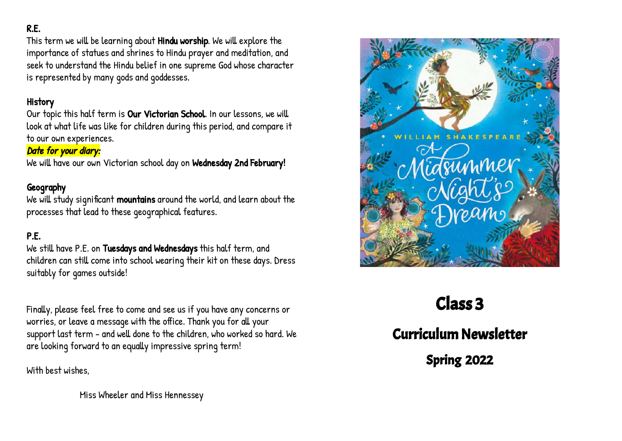## R.E.

This term we will be learning about Hindu worship. We will explore the importance of statues and shrines to Hindu prayer and meditation, and seek to understand the Hindu belief in one supreme God whose character is represented by many gods and goddesses.

#### History

Our topic this half term is Our Victorian School. In our lessons, we will look at what life was like for children during this period, and compare it to our own experiences.

#### Date for your diary:

We will have our own Victorian school day on Wednesday 2nd February!

## Geography

We will study significant mountains around the world, and learn about the processes that lead to these geographical features.

# P.E.

We still have P.E. on Tuesdays and Wednesdays this half term, and children can still come into school wearing their kit on these days. Dress suitably for games outside!

Finally, please feel free to come and see us if you have any concerns or worries, or leave a message with the office. Thank you for all your support last term - and well done to the children, who worked so hard. We are looking forward to an equally impressive spring term!

With best wishes,

Miss Wheeler and Miss Hennessey



# Class 3

Curriculum Newsletter

Spring 2022